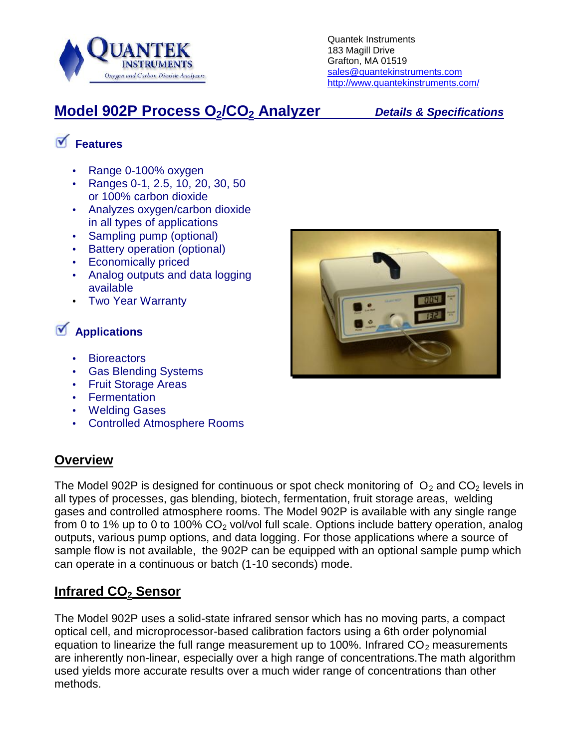

## **Model 902P Process O2/CO<sup>2</sup> Analyzer** *Details & Specifications*

# **Features**

- Range 0-100% oxygen
- Ranges 0-1, 2.5, 10, 20, 30, 50 or 100% carbon dioxide
- Analyzes oxygen/carbon dioxide in all types of applications
- Sampling pump (optional)
- Battery operation (optional)
- Economically priced
- Analog outputs and data logging available
- Two Year Warranty

## **Applications**

- **Bioreactors**
- Gas Blending Systems
- Fruit Storage Areas
- **•** Fermentation
- Welding Gases
- Controlled Atmosphere Rooms

### **Overview**

The Model 902P is designed for continuous or spot check monitoring of  $O_2$  and  $CO_2$  levels in all types of processes, gas blending, biotech, fermentation, fruit storage areas, welding gases and controlled atmosphere rooms. The Model 902P is available with any single range from 0 to 1% up to 0 to 100%  $CO<sub>2</sub>$  vol/vol full scale. Options include battery operation, analog outputs, various pump options, and data logging. For those applications where a source of sample flow is not available, the 902P can be equipped with an optional sample pump which can operate in a continuous or batch (1-10 seconds) mode.

### **Infrared CO<sup>2</sup> Sensor**

The Model 902P uses a solid-state infrared sensor which has no moving parts, a compact optical cell, and microprocessor-based calibration factors using a 6th order polynomial equation to linearize the full range measurement up to 100%. Infrared  $CO<sub>2</sub>$  measurements are inherently non-linear, especially over a high range of concentrations.The math algorithm used yields more accurate results over a much wider range of concentrations than other methods.

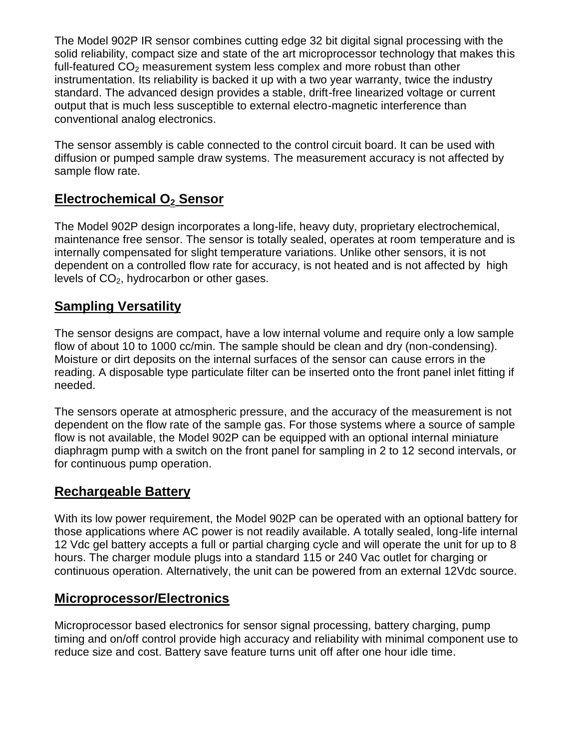The Model 902P IR sensor combines cutting edge 32 bit digital signal processing with the solid reliability, compact size and state of the art microprocessor technology that makes this full-featured  $CO<sub>2</sub>$  measurement system less complex and more robust than other instrumentation. Its reliability is backed it up with a two year warranty, twice the industry standard. The advanced design provides a stable, drift-free linearized voltage or current output that is much less susceptible to external electro-magnetic interference than conventional analog electronics.

The sensor assembly is cable connected to the control circuit board. It can be used with diffusion or pumped sample draw systems. The measurement accuracy is not affected by sample flow rate.

### **Electrochemical O<sup>2</sup> Sensor**

The Model 902P design incorporates a long-life, heavy duty, proprietary electrochemical, maintenance free sensor. The sensor is totally sealed, operates at room temperature and is internally compensated for slight temperature variations. Unlike other sensors, it is not dependent on a controlled flow rate for accuracy, is not heated and is not affected by high levels of  $CO<sub>2</sub>$ , hydrocarbon or other gases.

#### **Sampling Versatility**

The sensor designs are compact, have a low internal volume and require only a low sample flow of about 10 to 1000 cc/min. The sample should be clean and dry (non-condensing). Moisture or dirt deposits on the internal surfaces of the sensor can cause errors in the reading. A disposable type particulate filter can be inserted onto the front panel inlet fitting if needed.

The sensors operate at atmospheric pressure, and the accuracy of the measurement is not dependent on the flow rate of the sample gas. For those systems where a source of sample flow is not available, the Model 902P can be equipped with an optional internal miniature diaphragm pump with a switch on the front panel for sampling in 2 to 12 second intervals, or for continuous pump operation.

#### **Rechargeable Battery**

With its low power requirement, the Model 902P can be operated with an optional battery for those applications where AC power is not readily available. A totally sealed, long-life internal 12 Vdc gel battery accepts a full or partial charging cycle and will operate the unit for up to 8 hours. The charger module plugs into a standard 115 or 240 Vac outlet for charging or continuous operation. Alternatively, the unit can be powered from an external 12Vdc source.

#### **Microprocessor/Electronics**

Microprocessor based electronics for sensor signal processing, battery charging, pump timing and on/off control provide high accuracy and reliability with minimal component use to reduce size and cost. Battery save feature turns unit off after one hour idle time.